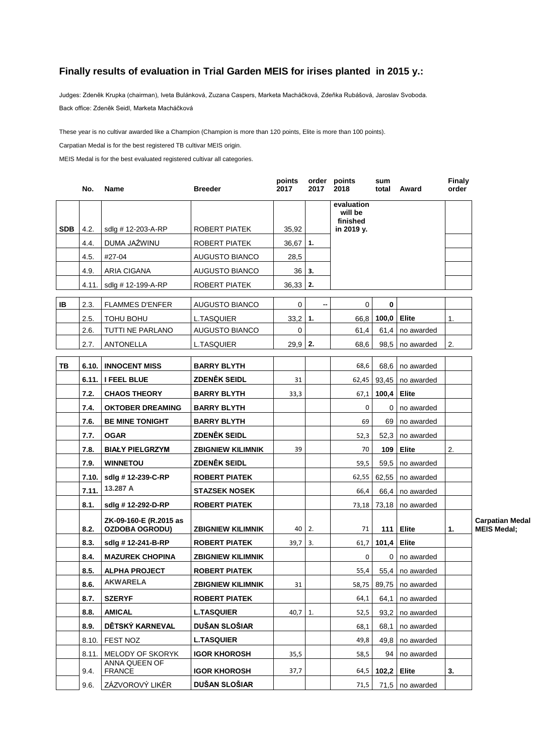## **Finally results of evaluation in Trial Garden MEIS for irises planted in 2015 y.:**

Judges: Zdeněk Krupka (chairman), Iveta Bulánková, Zuzana Caspers, Marketa Macháčková, Zdeňka Rubášová, Jaroslav Svoboda. Back office: Zdeněk Seidl, Marketa Macháčková

These year is no cultivar awarded like a Champion (Champion is more than 120 points, Elite is more than 100 points).

Carpatian Medal is for the best registered TB cultivar MEIS origin.

MEIS Medal is for the best evaluated registered cultivar all categories.

|            | No.   | <b>Name</b>                                     | <b>Breeder</b>           | points<br>2017 | 2017 | order points<br>2018              | sum<br>total     | Award                | <b>Finaly</b><br>order |
|------------|-------|-------------------------------------------------|--------------------------|----------------|------|-----------------------------------|------------------|----------------------|------------------------|
|            |       |                                                 |                          |                |      | evaluation<br>will be<br>finished |                  |                      |                        |
| <b>SDB</b> | 4.2.  | sdlg # 12-203-A-RP                              | ROBERT PIATEK            | 35.92          |      | in 2019 y.                        |                  |                      |                        |
|            | 4.4.  | DUMA JAŹWINU                                    | ROBERT PIATEK            | $36,67$ 1.     |      |                                   |                  |                      |                        |
|            | 4.5.  | #27-04                                          | <b>AUGUSTO BIANCO</b>    | 28,5           |      |                                   |                  |                      |                        |
|            | 4.9.  | ARIA CIGANA                                     | <b>AUGUSTO BIANCO</b>    | 36 I           | 3.   |                                   |                  |                      |                        |
|            |       | 4.11. sdlg # 12-199-A-RP                        | ROBERT PIATEK            | $36,33$ 2.     |      |                                   |                  |                      |                        |
| IB         | 2.3.  | <b>FLAMMES D'ENFER</b>                          | <b>AUGUSTO BIANCO</b>    | 0              | --   | 0                                 | 0                |                      |                        |
|            | 2.5.  | TOHU BOHU                                       | <b>L.TASQUIER</b>        | $33,2$ 1.      |      | 66,8                              | 100,0            | <b>Elite</b>         | 1.                     |
|            | 2.6.  | TUTTI NE PARLANO                                | <b>AUGUSTO BIANCO</b>    | 0              |      | 61,4                              | 61,4             | no awarded           |                        |
|            | 2.7.  | ANTONELLA                                       | L.TASQUIER               | 29,9 2.        |      | 68,6                              | 98,5             | no awarded           | 2.                     |
| TB         |       | 6.10. INNOCENT MISS                             | <b>BARRY BLYTH</b>       |                |      | 68,6                              | 68,6             | no awarded           |                        |
|            |       | 6.11. I FEEL BLUE                               | ZDENĚK SEIDL             | 31             |      | 62,45                             |                  | 93.45 no awarded     |                        |
|            | 7.2.  | <b>CHAOS THEORY</b>                             | <b>BARRY BLYTH</b>       | 33,3           |      | 67,1                              | 100,4            | Elite                |                        |
|            | 7.4.  | <b>OKTOBER DREAMING</b>                         | <b>BARRY BLYTH</b>       |                |      | 0                                 | $\overline{0}$   | no awarded           |                        |
|            | 7.6.  | <b>BE MINE TONIGHT</b>                          | <b>BARRY BLYTH</b>       |                |      | 69                                | 69               | no awarded           |                        |
|            | 7.7.  | <b>OGAR</b>                                     | <b>ZDENĚK SEIDL</b>      |                |      | 52,3                              | 52,3             | no awarded           |                        |
|            | 7.8.  | <b>BIAŁY PIELGRZYM</b>                          | <b>ZBIGNIEW KILIMNIK</b> | 39             |      | 70                                | 109 <sub>1</sub> | Elite                | 2.                     |
|            | 7.9.  | <b>WINNETOU</b>                                 | <b>ZDENĚK SEIDL</b>      |                |      | 59,5                              | 59,5             | no awarded           |                        |
|            | 7.10. | sdlg #12-239-C-RP                               | <b>ROBERT PIATEK</b>     |                |      | 62,55                             |                  | $62,55$   no awarded |                        |
|            | 7.11. | 13.287 A                                        | <b>STAZSEK NOSEK</b>     |                |      | 66,4                              | 66,4             | no awarded           |                        |
|            | 8.1.  | sdlg #12-292-D-RP                               | <b>ROBERT PIATEK</b>     |                |      | 73,18                             |                  | $73,18$   no awarded |                        |
|            | 8.2.  | ZK-09-160-E (R.2015 as<br><b>OZDOBA OGRODU)</b> | <b>ZBIGNIEW KILIMNIK</b> | 40             | 2.   | 71                                |                  | 111   Elite          | 1.<br><b>MEI</b>       |
|            | 8.3.  | sdlg #12-241-B-RP                               | <b>ROBERT PIATEK</b>     | 39,7           | 3.   | 61,7                              | 101,4            | Elite                |                        |
|            | 8.4.  | <b>MAZUREK CHOPINA</b>                          | <b>ZBIGNIEW KILIMNIK</b> |                |      | 0                                 | $\overline{0}$   | no awarded           |                        |
|            | 8.5.  | <b>ALPHA PROJECT</b>                            | <b>ROBERT PIATEK</b>     |                |      | 55,4                              | 55,4             | no awarded           |                        |
|            | 8.6.  | <b>AKWARELA</b>                                 | <b>ZBIGNIEW KILIMNIK</b> | 31             |      | 58,75                             |                  | 89,75   no awarded   |                        |
|            | 8.7.  | <b>SZERYF</b>                                   | <b>ROBERT PIATEK</b>     |                |      | 64,1                              | 64,1             | no awarded           |                        |
|            | 8.8.  | <b>AMICAL</b>                                   | <b>L.TASQUIER</b>        | 40,7           | 1.   | 52,5                              | 93,2             | no awarded           |                        |
|            | 8.9.  | DĚTSKÝ KARNEVAL                                 | DUŠAN SLOŠIAR            |                |      | 68,1                              | 68,1             | no awarded           |                        |
|            | 8.10. | FEST NOZ                                        | <b>L.TASQUIER</b>        |                |      | 49,8                              | 49,8             | no awarded           |                        |
|            | 8.11. | MELODY OF SKORYK                                | <b>IGOR KHOROSH</b>      | 35,5           |      | 58,5                              | 94 I             | no awarded           |                        |
|            | 9.4.  | ANNA QUEEN OF<br><b>FRANCE</b>                  | <b>IGOR KHOROSH</b>      | 37,7           |      | 64,5                              | 102,2            | Elite                | 3.                     |
|            | 9.6.  | ZÁZVOROVÝ LIKÉR                                 | DUŠAN SLOŠIAR            |                |      | 71,5                              |                  | 71,5   no awarded    |                        |

**Carpatian Medal MEIS Medal;**